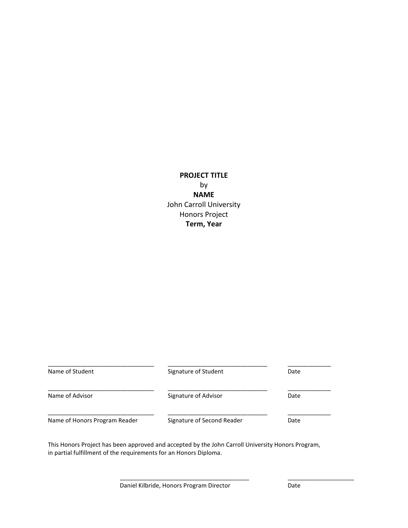## **PROJECT TITLE** by **NAME** John Carroll University Honors Project **Term, Year**

| Name of Student               | Signature of Student       | Date |
|-------------------------------|----------------------------|------|
| Name of Advisor               | Signature of Advisor       | Date |
| Name of Honors Program Reader | Signature of Second Reader | Date |

This Honors Project has been approved and accepted by the John Carroll University Honors Program, in partial fulfillment of the requirements for an Honors Diploma.

\_\_\_\_\_\_\_\_\_\_\_\_\_\_\_\_\_\_\_\_\_\_\_\_\_\_\_\_\_\_\_\_\_\_\_\_\_\_\_ \_\_\_\_\_\_\_\_\_\_\_\_\_\_\_\_\_\_\_\_